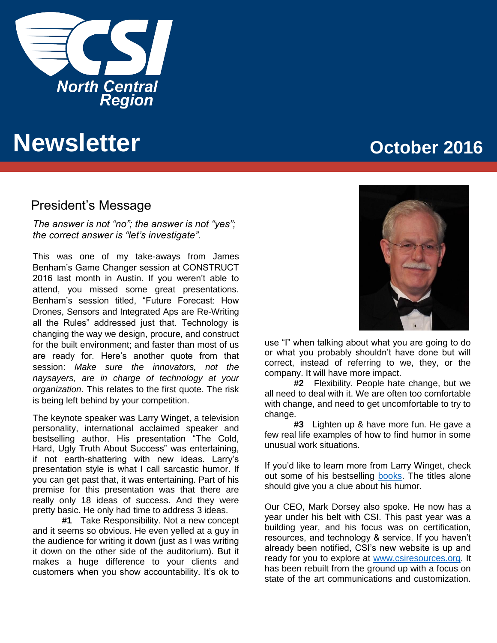

# **Newsletter CONFIDENTIAL CONSIDERER <b>CONFIDENTIAL CONFIDENT** CONSIDERED AT  $\alpha$

### President's Message

*The answer is not "no"; the answer is not "yes"; the correct answer is "let's investigate".* 

This was one of my take-aways from James Benham's Game Changer session at CONSTRUCT 2016 last month in Austin. If you weren't able to attend, you missed some great presentations. Benham's session titled, "Future Forecast: How Drones, Sensors and Integrated Aps are Re-Writing all the Rules" addressed just that. Technology is changing the way we design, procure, and construct for the built environment; and faster than most of us are ready for. Here's another quote from that session: *Make sure the innovators, not the naysayers, are in charge of technology at your organization*. This relates to the first quote. The risk is being left behind by your competition.

The keynote speaker was Larry Winget, a television personality, international acclaimed speaker and bestselling author. His presentation "The Cold, Hard, Ugly Truth About Success" was entertaining, if not earth-shattering with new ideas. Larry's presentation style is what I call sarcastic humor. If you can get past that, it was entertaining. Part of his premise for this presentation was that there are really only 18 ideas of success. And they were pretty basic. He only had time to address 3 ideas.

**#1** Take Responsibility. Not a new concept and it seems so obvious. He even yelled at a guy in the audience for writing it down (just as I was writing it down on the other side of the auditorium). But it makes a huge difference to your clients and customers when you show accountability. It's ok to



use "I" when talking about what you are going to do or what you probably shouldn't have done but will correct, instead of referring to we, they, or the company. It will have more impact.

**#2** Flexibility. People hate change, but we all need to deal with it. We are often too comfortable with change, and need to get uncomfortable to try to change.

**#3** Lighten up & have more fun. He gave a few real life examples of how to find humor in some unusual work situations.

If you'd like to learn more from Larry Winget, check out some of his bestselling [books.](https://www.amazon.com/Larry-Winget/e/B001H6PN9E/ref=sr_ntt_srch_lnk_1?qid=1475166955&sr=1-1) The titles alone should give you a clue about his humor.

Our CEO, Mark Dorsey also spoke. He now has a year under his belt with CSI. This past year was a building year, and his focus was on certification, resources, and technology & service. If you haven't already been notified, CSI's new website is up and ready for you to explore at [www.csiresources.org.](http://www.csiresources.org/) It has been rebuilt from the ground up with a focus on state of the art communications and customization.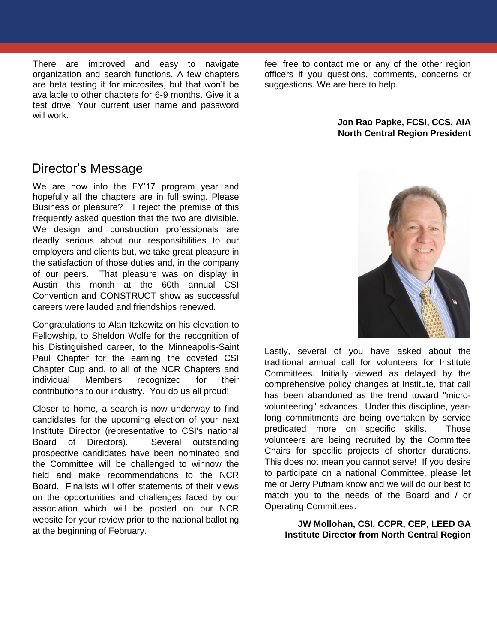There are improved and easy to navigate organization and search functions. A few chapters are beta testing it for microsites, but that won't be available to other chapters for 6-9 months. Give it a test drive. Your current user name and password will work.

feel free to contact me or any of the other region officers if you questions, comments, concerns or suggestions. We are here to help.

#### **Jon Rao Papke, FCSI, CCS, AIA North Central Region President**

### Director's Message

We are now into the FY'17 program year and hopefully all the chapters are in full swing. Please Business or pleasure? I reject the premise of this frequently asked question that the two are divisible. We design and construction professionals are deadly serious about our responsibilities to our employers and clients but, we take great pleasure in the satisfaction of those duties and, in the company of our peers. That pleasure was on display in Austin this month at the 60th annual CSI Convention and CONSTRUCT show as successful careers were lauded and friendships renewed.

Congratulations to Alan Itzkowitz on his elevation to Fellowship, to Sheldon Wolfe for the recognition of his Distinguished career, to the Minneapolis-Saint Paul Chapter for the earning the coveted CSI Chapter Cup and, to all of the NCR Chapters and individual Members recognized for their contributions to our industry. You do us all proud!

Closer to home, a search is now underway to find candidates for the upcoming election of your next Institute Director (representative to CSI's national Board of Directors). Several outstanding prospective candidates have been nominated and the Committee will be challenged to winnow the field and make recommendations to the NCR Board. Finalists will offer statements of their views on the opportunities and challenges faced by our association which will be posted on our NCR website for your review prior to the national balloting at the beginning of February.



Lastly, several of you have asked about the traditional annual call for volunteers for Institute Committees. Initially viewed as delayed by the comprehensive policy changes at Institute, that call has been abandoned as the trend toward "microvolunteering" advances. Under this discipline, yearlong commitments are being overtaken by service predicated more on specific skills. Those volunteers are being recruited by the Committee Chairs for specific projects of shorter durations. This does not mean you cannot serve! If you desire to participate on a national Committee, please let me or Jerry Putnam know and we will do our best to match you to the needs of the Board and / or Operating Committees.

#### **JW Mollohan, CSI, CCPR, CEP, LEED GA Institute Director from North Central Region**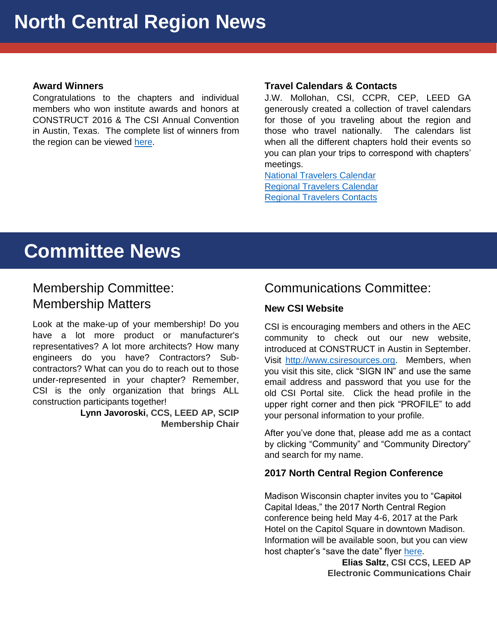#### **Award Winners**

**North Construct Central Region CONSTRUCT 2016 & The CSI Annual Convention** for the complete list of winners from the construction Congratulations to the chapters and individual members who won institute awards and honors at in Austin, Texas. The complete list of winners from the region can be viewed [here.](http://ncr.csinet.org/Menu/News/2015-2016-Award-Winners.pdf)

#### **Travel Calendars & Contacts**

J.W. Mollohan, CSI, CCPR, CEP, LEED GA generously created a collection of travel calendars for those of you traveling about the region and those who travel nationally. The calendars list when all the different chapters hold their events so you can plan your trips to correspond with chapters' meetings.

[National Travelers Calendar](http://chicago.csinet.org/sp/National-Travelers-Calendar.pdf) [Regional Travelers Calendar](http://ncr.csinet.org/Copy%20of%20sp/Region-Travelers.pdf) [Regional Travelers Contacts](http://ncr.csinet.org/Copy%20of%20sp/RegionTravelsContacts.pdf)

# **Committee News**

### Membership Committee: Membership Matters

Look at the make-up of your membership! Do you have a lot more product or manufacturer's representatives? A lot more architects? How many engineers do you have? Contractors? Subcontractors? What can you do to reach out to those under-represented in your chapter? Remember, CSI is the only organization that brings ALL construction participants together!

**Lynn Javoroski, CCS, LEED AP, SCIP Membership Chair**

### Communications Committee:

### **New CSI Website**

CSI is encouraging members and others in the AEC community to check out our new website, introduced at CONSTRUCT in Austin in September. Visit [http://www.csiresources.org.](http://www.csiresources.org/) Members, when you visit this site, click "SIGN IN" and use the same email address and password that you use for the old CSI Portal site. Click the head profile in the upper right corner and then pick "PROFILE" to add your personal information to your profile.

After you've done that, please add me as a contact by clicking "Community" and "Community Directory" and search for my name.

#### **2017 North Central Region Conference**

Madison Wisconsin chapter invites you to "Capitol Capital Ideas," the 2017 North Central Region conference being held May 4-6, 2017 at the Park Hotel on the Capitol Square in downtown Madison. Information will be available soon, but you can view host chapter's "save the date" flyer [here.](http://ncr.csinet.org/Menu/News/2016-NCR-Conference.pdf)

**Elias Saltz, CSI CCS, LEED AP Electronic Communications Chair**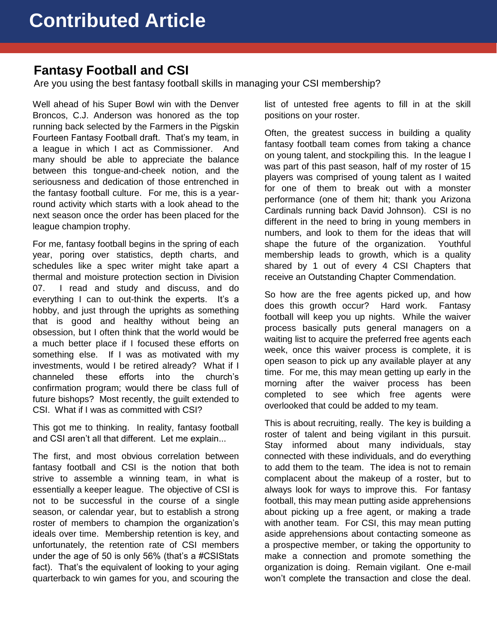### **Fantasy Football and CSI**

Are you using the best fantasy football skills in managing your CSI membership?

Broncos, C.J. Anderson was honored as the top positi<br>running back selected by the Farmers in the Pigskin Well ahead of his Super Bowl win with the Denver Broncos, C.J. Anderson was honored as the top Fourteen Fantasy Football draft. That's my team, in a league in which I act as Commissioner. And many should be able to appreciate the balance between this tongue-and-cheek notion, and the seriousness and dedication of those entrenched in the fantasy football culture. For me, this is a yearround activity which starts with a look ahead to the next season once the order has been placed for the league champion trophy.

For me, fantasy football begins in the spring of each year, poring over statistics, depth charts, and schedules like a spec writer might take apart a thermal and moisture protection section in Division 07. I read and study and discuss, and do everything I can to out-think the experts. It's a hobby, and just through the uprights as something that is good and healthy without being an obsession, but I often think that the world would be a much better place if I focused these efforts on something else. If I was as motivated with my investments, would I be retired already? What if I channeled these efforts into the church's confirmation program; would there be class full of future bishops? Most recently, the guilt extended to CSI. What if I was as committed with CSI?

This got me to thinking. In reality, fantasy football and CSI aren't all that different. Let me explain...

The first, and most obvious correlation between fantasy football and CSI is the notion that both strive to assemble a winning team, in what is essentially a keeper league. The objective of CSI is not to be successful in the course of a single season, or calendar year, but to establish a strong roster of members to champion the organization's ideals over time. Membership retention is key, and unfortunately, the retention rate of CSI members under the age of 50 is only 56% (that's a #CSIStats fact). That's the equivalent of looking to your aging quarterback to win games for you, and scouring the

list of untested free agents to fill in at the skill positions on your roster.

Often, the greatest success in building a quality fantasy football team comes from taking a chance on young talent, and stockpiling this. In the league I was part of this past season, half of my roster of 15 players was comprised of young talent as I waited for one of them to break out with a monster performance (one of them hit; thank you Arizona Cardinals running back David Johnson). CSI is no different in the need to bring in young members in numbers, and look to them for the ideas that will shape the future of the organization. Youthful membership leads to growth, which is a quality shared by 1 out of every 4 CSI Chapters that receive an Outstanding Chapter Commendation.

So how are the free agents picked up, and how does this growth occur? Hard work. Fantasy football will keep you up nights. While the waiver process basically puts general managers on a waiting list to acquire the preferred free agents each week, once this waiver process is complete, it is open season to pick up any available player at any time. For me, this may mean getting up early in the morning after the waiver process has been completed to see which free agents were overlooked that could be added to my team.

This is about recruiting, really. The key is building a roster of talent and being vigilant in this pursuit. Stay informed about many individuals, stay connected with these individuals, and do everything to add them to the team. The idea is not to remain complacent about the makeup of a roster, but to always look for ways to improve this. For fantasy football, this may mean putting aside apprehensions about picking up a free agent, or making a trade with another team. For CSI, this may mean putting aside apprehensions about contacting someone as a prospective member, or taking the opportunity to make a connection and promote something the organization is doing. Remain vigilant. One e-mail won't complete the transaction and close the deal.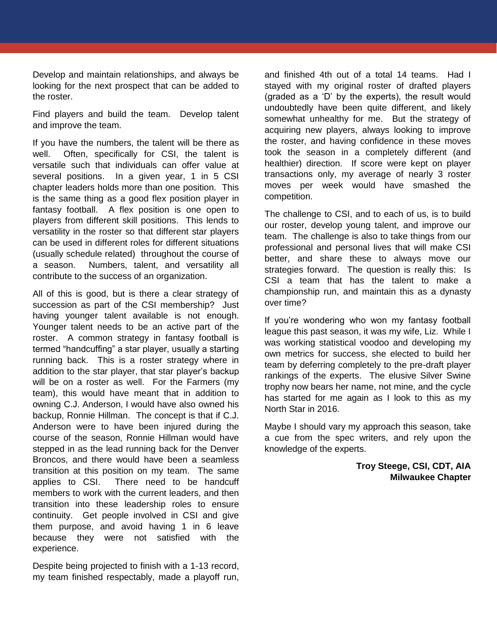Develop and maintain relationships, and always be looking for the next prospect that can be added to the roster.

Find players and build the team. Develop talent some<br>and improve the team. and improve the team.

If you have the numbers, the talent will be there as well. Often, specifically for CSI, the talent is versatile such that individuals can offer value at several positions. In a given year, 1 in 5 CSI chapter leaders holds more than one position. This is the same thing as a good flex position player in fantasy football. A flex position is one open to players from different skill positions. This lends to versatility in the roster so that different star players can be used in different roles for different situations (usually schedule related) throughout the course of a season. Numbers, talent, and versatility all contribute to the success of an organization.

All of this is good, but is there a clear strategy of succession as part of the CSI membership? Just having younger talent available is not enough. Younger talent needs to be an active part of the roster. A common strategy in fantasy football is termed "handcuffing" a star player, usually a starting running back. This is a roster strategy where in addition to the star player, that star player's backup will be on a roster as well. For the Farmers (my team), this would have meant that in addition to owning C.J. Anderson, I would have also owned his backup, Ronnie Hillman. The concept is that if C.J. Anderson were to have been injured during the course of the season, Ronnie Hillman would have stepped in as the lead running back for the Denver Broncos, and there would have been a seamless transition at this position on my team. The same applies to CSI. There need to be handcuff members to work with the current leaders, and then transition into these leadership roles to ensure continuity. Get people involved in CSI and give them purpose, and avoid having 1 in 6 leave because they were not satisfied with the experience.

Despite being projected to finish with a 1-13 record, my team finished respectably, made a playoff run,

and finished 4th out of a total 14 teams. Had I stayed with my original roster of drafted players (graded as a 'D' by the experts), the result would undoubtedly have been quite different, and likely somewhat unhealthy for me. But the strategy of acquiring new players, always looking to improve the roster, and having confidence in these moves took the season in a completely different (and healthier) direction. If score were kept on player transactions only, my average of nearly 3 roster moves per week would have smashed the competition.

The challenge to CSI, and to each of us, is to build our roster, develop young talent, and improve our team. The challenge is also to take things from our professional and personal lives that will make CSI better, and share these to always move our strategies forward. The question is really this: Is CSI a team that has the talent to make a championship run, and maintain this as a dynasty over time?

If you're wondering who won my fantasy football league this past season, it was my wife, Liz. While I was working statistical voodoo and developing my own metrics for success, she elected to build her team by deferring completely to the pre-draft player rankings of the experts. The elusive Silver Swine trophy now bears her name, not mine, and the cycle has started for me again as I look to this as my North Star in 2016.

Maybe I should vary my approach this season, take a cue from the spec writers, and rely upon the knowledge of the experts.

> **Troy Steege, CSI, CDT, AIA Milwaukee Chapter**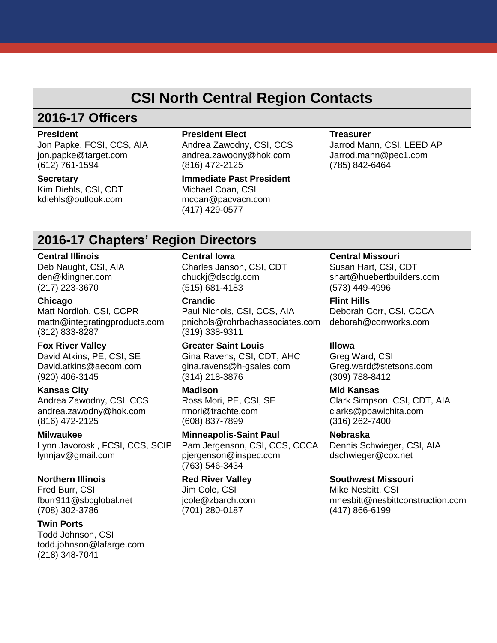### **CSI North Central Region Contacts**

# **2016-17 Officers**

#### **President**

Jon Papke, FCSI, CCS, AIA jon.papke@target.com (612) 761-1594

**Secretary**

Kim Diehls, CSI, CDT kdiehls@outlook.com

#### **President Elect**

Andrea Zawodny, CSI, CCS andrea.zawodny@hok.com (816) 472-2125

**Immediate Past President** Michael Coan, CSI mcoan@pacvacn.com (417) 429-0577

#### **Treasurer**

Jarrod Mann, CSI, LEED AP Jarrod.mann@pec1.com (785) 842-6464

### **2016-17 Chapters' Region Directors**

#### **Central Illinois**

Deb Naught, CSI, AIA den@klingner.com (217) 223-3670

#### **Chicago**

Matt Nordloh, CSI, CCPR mattn@integratingproducts.com (312) 833-8287

#### **Fox River Valley**

David Atkins, PE, CSI, SE David.atkins@aecom.com (920) 406-3145

#### **Kansas City**

Andrea Zawodny, CSI, CCS andrea.zawodny@hok.com (816) 472-2125

#### **Milwaukee**

Lynn Javoroski, FCSI, CCS, SCIP lynnjav@gmail.com

#### **Northern Illinois**

Fred Burr, CSI fburr911@sbcglobal.net (708) 302-3786

#### **Twin Ports**

Todd Johnson, CSI todd.johnson@lafarge.com (218) 348-7041

#### **Central Iowa**

Charles Janson, CSI, CDT chuckj@dscdg.com (515) 681-4183

#### **Crandic**

Paul Nichols, CSI, CCS, AIA pnichols@rohrbachassociates.com (319) 338-9311

**Greater Saint Louis** Gina Ravens, CSI, CDT, AHC gina.ravens@h-gsales.com (314) 218-3876

#### **Madison**

Ross Mori, PE, CSI, SE rmori@trachte.com (608) 837-7899

#### **Minneapolis-Saint Paul**

Pam Jergenson, CSI, CCS, CCCA pjergenson@inspec.com (763) 546-3434

#### **Red River Valley** Jim Cole, CSI

jcole@zbarch.com (701) 280-0187

#### **Central Missouri**

Susan Hart, CSI, CDT shart@huebertbuilders.com (573) 449-4996

#### **Flint Hills** Deborah Corr, CSI, CCCA

deborah@corrworks.com

#### **Illowa**

Greg Ward, CSI Greg.ward@stetsons.com (309) 788-8412

#### **Mid Kansas**

Clark Simpson, CSI, CDT, AIA clarks@pbawichita.com (316) 262-7400

### **Nebraska**

Dennis Schwieger, CSI, AIA dschwieger@cox.net

#### **Southwest Missouri**

Mike Nesbitt, CSI mnesbitt@nesbittconstruction.com (417) 866-6199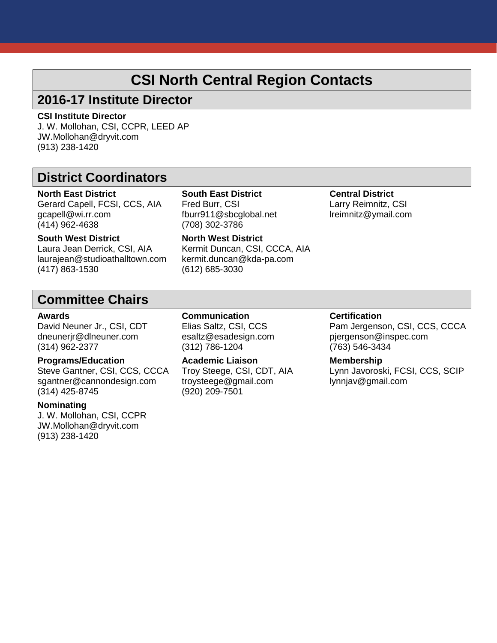## **CSI North Central Region Contacts**

### **2016-17 Institute Director**

#### **CSI Institute Director**

**CSI Institute Director<br>J. W. Mollohan, CSI, CCPR, LEED AP** JW.Mollohan@dryvit.com (913) 238-1420

### **District Coordinators**

**North East District** Gerard Capell, FCSI, CCS, AIA gcapell@wi.rr.com (414) 962-4638

Fred Burr, CSI fburr911@sbcglobal.net (708) 302-3786 **North West District**

**South East District**

**Central District** Larry Reimnitz, CSI lreimnitz@ymail.com

### **South West District**

Laura Jean Derrick, CSI, AIA laurajean@studioathalltown.com (417) 863-1530

Kermit Duncan, CSI, CCCA, AIA kermit.duncan@kda-pa.com (612) 685-3030

### **Committee Chairs**

#### **Awards**

David Neuner Jr., CSI, CDT dneunerjr@dlneuner.com (314) 962-2377

#### **Programs/Education**

Steve Gantner, CSI, CCS, CCCA sgantner@cannondesign.com (314) 425-8745

#### **Nominating**

J. W. Mollohan, CSI, CCPR JW.Mollohan@dryvit.com (913) 238-1420

**Communication** Elias Saltz, CSI, CCS esaltz@esadesign.com (312) 786-1204

**Academic Liaison** Troy Steege, CSI, CDT, AIA troysteege@gmail.com (920) 209-7501

#### **Certification**

Pam Jergenson, CSI, CCS, CCCA pjergenson@inspec.com (763) 546-3434

#### **Membership**

Lynn Javoroski, FCSI, CCS, SCIP lynnjav@gmail.com